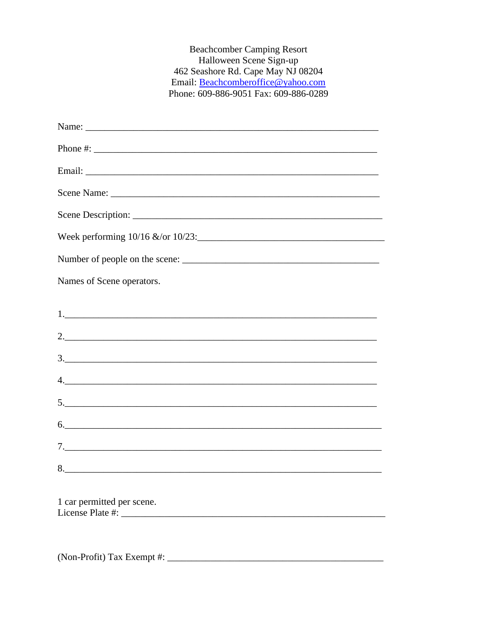**Beachcomber Camping Resort** Halloween Scene Sign-up 462 Seashore Rd. Cape May NJ 08204 Email: Beachcomberoffice@yahoo.com Phone: 609-886-9051 Fax: 609-886-0289

| Names of Scene operators.                      |
|------------------------------------------------|
|                                                |
|                                                |
| $\frac{3}{2}$                                  |
| 4.                                             |
|                                                |
| 6.                                             |
|                                                |
| 8.                                             |
| 1 car permitted per scene.<br>License Plate #: |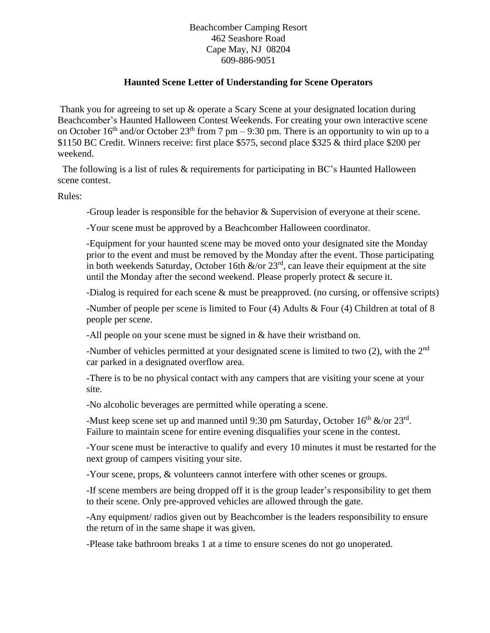Beachcomber Camping Resort 462 Seashore Road Cape May, NJ 08204 609-886-9051

## **Haunted Scene Letter of Understanding for Scene Operators**

Thank you for agreeing to set up & operate a Scary Scene at your designated location during Beachcomber's Haunted Halloween Contest Weekends. For creating your own interactive scene on October 16<sup>th</sup> and/or October 23<sup>th</sup> from 7 pm – 9:30 pm. There is an opportunity to win up to a \$1150 BC Credit. Winners receive: first place \$575, second place \$325 & third place \$200 per weekend.

The following is a list of rules & requirements for participating in BC's Haunted Halloween scene contest.

Rules:

-Group leader is responsible for the behavior & Supervision of everyone at their scene.

-Your scene must be approved by a Beachcomber Halloween coordinator.

-Equipment for your haunted scene may be moved onto your designated site the Monday prior to the event and must be removed by the Monday after the event. Those participating in both weekends Saturday, October 16th  $\&$ /or  $23<sup>rd</sup>$ , can leave their equipment at the site until the Monday after the second weekend. Please properly protect  $\&$  secure it.

-Dialog is required for each scene & must be preapproved. (no cursing, or offensive scripts)

-Number of people per scene is limited to Four (4) Adults & Four (4) Children at total of 8 people per scene.

-All people on your scene must be signed in & have their wristband on.

-Number of vehicles permitted at your designated scene is limited to two  $(2)$ , with the  $2<sup>nd</sup>$ car parked in a designated overflow area.

-There is to be no physical contact with any campers that are visiting your scene at your site.

-No alcoholic beverages are permitted while operating a scene.

-Must keep scene set up and manned until 9:30 pm Saturday, October  $16<sup>th</sup>$  &/or  $23<sup>rd</sup>$ . Failure to maintain scene for entire evening disqualifies your scene in the contest.

-Your scene must be interactive to qualify and every 10 minutes it must be restarted for the next group of campers visiting your site.

-Your scene, props, & volunteers cannot interfere with other scenes or groups.

-If scene members are being dropped off it is the group leader's responsibility to get them to their scene. Only pre-approved vehicles are allowed through the gate.

-Any equipment/ radios given out by Beachcomber is the leaders responsibility to ensure the return of in the same shape it was given.

-Please take bathroom breaks 1 at a time to ensure scenes do not go unoperated.